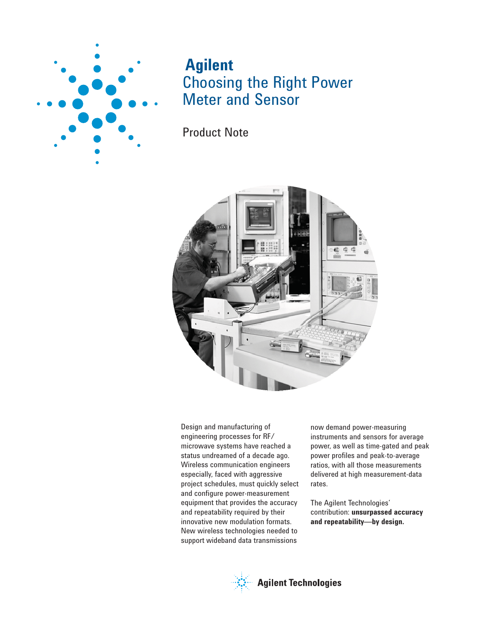

# **Agilent** Choosing the Right Power Meter and Sensor

Product Note



Design and manufacturing of engineering processes for RF/ microwave systems have reached a status undreamed of a decade ago. Wireless communication engineers especially, faced with aggressive project schedules, must quickly select and configure power-measurement equipment that provides the accuracy and repeatability required by their innovative new modulation formats. New wireless technologies needed to support wideband data transmissions

now demand power-measuring instruments and sensors for average power, as well as time-gated and peak power profiles and peak-to-average ratios, with all those measurements delivered at high measurement-data rates.

The Agilent Technologies' contribution: **unsurpassed accuracy and repeatability—by design.**

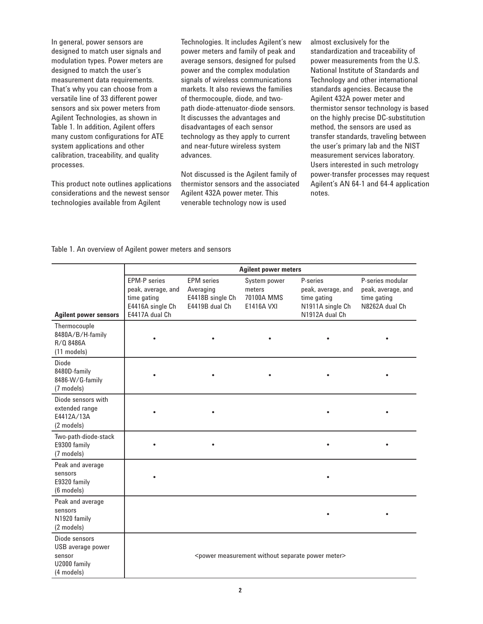In general, power sensors are designed to match user signals and modulation types. Power meters are designed to match the user's measurement data requirements. That's why you can choose from a versatile line of 33 different power sensors and six power meters from Agilent Technologies, as shown in Table 1. In addition, Agilent offers many custom configurations for ATE system applications and other calibration, traceability, and quality processes.

This product note outlines applications considerations and the newest sensor technologies available from Agilent

Technologies. It includes Agilent's new power meters and family of peak and average sensors, designed for pulsed power and the complex modulation signals of wireless communications markets. It also reviews the families of thermocouple, diode, and twopath diode-attenuator-diode sensors. It discusses the advantages and disadvantages of each sensor technology as they apply to current and near-future wireless system advances.

Not discussed is the Agilent family of thermistor sensors and the associated Agilent 432A power meter. This venerable technology now is used

almost exclusively for the standardization and traceability of power measurements from the U.S. National Institute of Standards and Technology and other international standards agencies. Because the Agilent 432A power meter and thermistor sensor technology is based on the highly precise DC-substitution method, the sensors are used as transfer standards, traveling between the user's primary lab and the NIST measurement services laboratory. Users interested in such metrology power-transfer processes may request Agilent's AN 64-1 and 64-4 application notes.

#### Table 1. An overview of Agilent power meters and sensors

|                                                                            |                                                                                                |                                                                      | <b>Agilent power meters</b>                               |                                                                                     |                                                                         |
|----------------------------------------------------------------------------|------------------------------------------------------------------------------------------------|----------------------------------------------------------------------|-----------------------------------------------------------|-------------------------------------------------------------------------------------|-------------------------------------------------------------------------|
| <b>Agilent power sensors</b>                                               | <b>EPM-P</b> series<br>peak, average, and<br>time gating<br>E4416A single Ch<br>E4417A dual Ch | <b>EPM</b> series<br>Averaging<br>E4418B single Ch<br>E4419B dual Ch | System power<br>meters<br>70100A MMS<br><b>E1416A VXI</b> | P-series<br>peak, average, and<br>time gating<br>N1911A single Ch<br>N1912A dual Ch | P-series modular<br>peak, average, and<br>time gating<br>N8262A dual Ch |
| Thermocouple<br>8480A/B/H-family<br>R/Q 8486A<br>$(11$ models)             |                                                                                                |                                                                      |                                                           |                                                                                     |                                                                         |
| Diode<br>8480D-family<br>8486-W/G-family<br>(7 models)                     |                                                                                                |                                                                      |                                                           |                                                                                     |                                                                         |
| Diode sensors with<br>extended range<br>E4412A/13A<br>(2 models)           |                                                                                                |                                                                      |                                                           |                                                                                     |                                                                         |
| Two-path-diode-stack<br>E9300 family<br>(7 models)                         |                                                                                                |                                                                      |                                                           |                                                                                     |                                                                         |
| Peak and average<br>sensors<br>E9320 family<br>(6 models)                  |                                                                                                |                                                                      |                                                           |                                                                                     |                                                                         |
| Peak and average<br>sensors<br>N1920 family<br>(2 models)                  |                                                                                                |                                                                      |                                                           |                                                                                     |                                                                         |
| Diode sensors<br>USB average power<br>sensor<br>U2000 family<br>(4 models) |                                                                                                |                                                                      |                                                           | <power measurement="" meter="" power="" separate="" without=""></power>             |                                                                         |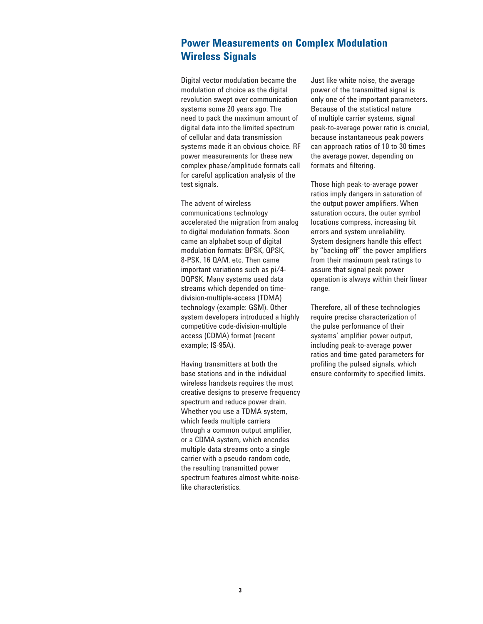### **Power Measurements on Complex Modulation Wireless Signals**

Digital vector modulation became the modulation of choice as the digital revolution swept over communication systems some 20 years ago. The need to pack the maximum amount of digital data into the limited spectrum of cellular and data transmission systems made it an obvious choice. RF power measurements for these new complex phase/amplitude formats call for careful application analysis of the test signals.

The advent of wireless communications technology accelerated the migration from analog to digital modulation formats. Soon came an alphabet soup of digital modulation formats: BPSK, QPSK, 8-PSK, 16 QAM, etc. Then came important variations such as pi/4- DQPSK. Many systems used data streams which depended on timedivision-multiple-access (TDMA) technology (example: GSM). Other system developers introduced a highly competitive code-division-multiple access (CDMA) format (recent example; IS-95A).

Having transmitters at both the base stations and in the individual wireless handsets requires the most creative designs to preserve frequency spectrum and reduce power drain. Whether you use a TDMA system, which feeds multiple carriers through a common output amplifier, or a CDMA system, which encodes multiple data streams onto a single carrier with a pseudo-random code, the resulting transmitted power spectrum features almost white-noiselike characteristics.

Just like white noise, the average power of the transmitted signal is only one of the important parameters. Because of the statistical nature of multiple carrier systems, signal peak-to-average power ratio is crucial, because instantaneous peak powers can approach ratios of 10 to 30 times the average power, depending on formats and filtering.

Those high peak-to-average power ratios imply dangers in saturation of the output power amplifiers. When saturation occurs, the outer symbol locations compress, increasing bit errors and system unreliability. System designers handle this effect by "backing-off" the power amplifiers from their maximum peak ratings to assure that signal peak power operation is always within their linear range.

Therefore, all of these technologies require precise characterization of the pulse performance of their systems' amplifier power output, including peak-to-average power ratios and time-gated parameters for profiling the pulsed signals, which ensure conformity to specified limits.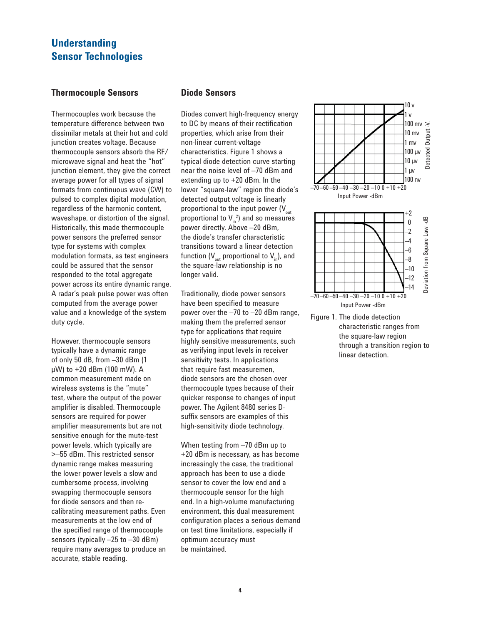## **Understanding Sensor Technologies**

### **Thermocouple Sensors**

Thermocouples work because the temperature difference between two dissimilar metals at their hot and cold junction creates voltage. Because thermocouple sensors absorb the RF/ microwave signal and heat the "hot" junction element, they give the correct average power for all types of signal formats from continuous wave (CW) to pulsed to complex digital modulation, regardless of the harmonic content, waveshape, or distortion of the signal. Historically, this made thermocouple power sensors the preferred sensor type for systems with complex modulation formats, as test engineers could be assured that the sensor responded to the total aggregate power across its entire dynamic range. A radar's peak pulse power was often computed from the average power value and a knowledge of the system duty cycle.

However, thermocouple sensors typically have a dynamic range of only 50 dB, from –30 dBm (1 μW) to +20 dBm (100 mW). A common measurement made on wireless systems is the "mute" test, where the output of the power amplifier is disabled. Thermocouple sensors are required for power amplifier measurements but are not sensitive enough for the mute-test power levels, which typically are >–55 dBm. This restricted sensor dynamic range makes measuring the lower power levels a slow and cumbersome process, involving swapping thermocouple sensors for diode sensors and then recalibrating measurement paths. Even measurements at the low end of the specified range of thermocouple sensors (typically –25 to –30 dBm) require many averages to produce an accurate, stable reading.

### **Diode Sensors**

Diodes convert high-frequency energy to DC by means of their rectification properties, which arise from their non-linear current-voltage characteristics. Figure 1 shows a typical diode detection curve starting near the noise level of –70 dBm and extending up to +20 dBm. In the lower "square-law" region the diode's detected output voltage is linearly proportional to the input power  $(V_{\text{out}})$ proportional to  $V_{in}^2$ ) and so measures power directly. Above –20 dBm, the diode's transfer characteristic transitions toward a linear detection function ( $V_{\text{out}}$  proportional to  $V_{\text{in}}$ ), and the square-law relationship is no longer valid.

Traditionally, diode power sensors have been specified to measure power over the –70 to –20 dBm range, making them the preferred sensor type for applications that require highly sensitive measurements, such as verifying input levels in receiver sensitivity tests. In applications that require fast measuremen, diode sensors are the chosen over thermocouple types because of their quicker response to changes of input power. The Agilent 8480 series Dsuffix sensors are examples of this high-sensitivity diode technology.

When testing from  $-70$  dBm up to +20 dBm is necessary, as has become increasingly the case, the traditional approach has been to use a diode sensor to cover the low end and a thermocouple sensor for the high end. In a high-volume manufacturing environment, this dual measurement configuration places a serious demand on test time limitations, especially if optimum accuracy must be maintained.



Figure 1. The diode detection characteristic ranges from the square-law region through a transition region to linear detection.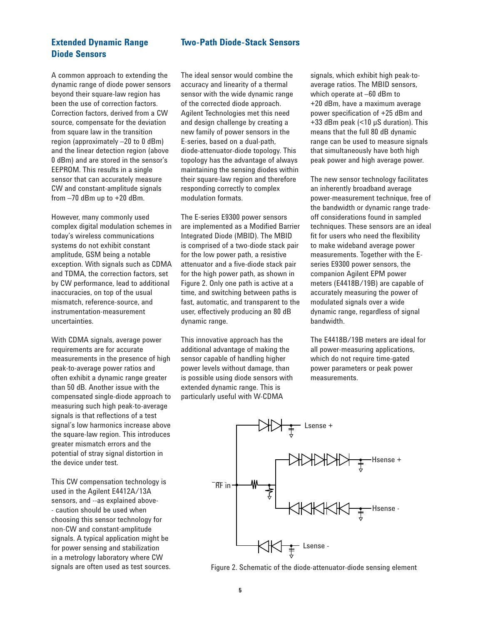### **Two-Path Diode-Stack Sensors**

### **Extended Dynamic Range Diode Sensors**

A common approach to extending the dynamic range of diode power sensors beyond their square-law region has been the use of correction factors. Correction factors, derived from a CW source, compensate for the deviation from square law in the transition region (approximately –20 to 0 dBm) and the linear detection region (above 0 dBm) and are stored in the sensor's EEPROM. This results in a single sensor that can accurately measure CW and constant-amplitude signals from –70 dBm up to +20 dBm.

However, many commonly used complex digital modulation schemes in today's wireless communications systems do not exhibit constant amplitude, GSM being a notable exception. With signals such as CDMA and TDMA, the correction factors, set by CW performance, lead to additional inaccuracies, on top of the usual mismatch, reference-source, and instrumentation-measurement uncertainties.

With CDMA signals, average power requirements are for accurate measurements in the presence of high peak-to-average power ratios and often exhibit a dynamic range greater than 50 dB. Another issue with the compensated single-diode approach to measuring such high peak-to-average signals is that reflections of a test signal's low harmonics increase above the square-law region. This introduces greater mismatch errors and the potential of stray signal distortion in the device under test.

This CW compensation technology is used in the Agilent E4412A/13A sensors, and --as explained above- - caution should be used when choosing this sensor technology for non-CW and constant-amplitude signals. A typical application might be for power sensing and stabilization in a metrology laboratory where CW signals are often used as test sources. The ideal sensor would combine the accuracy and linearity of a thermal sensor with the wide dynamic range of the corrected diode approach. Agilent Technologies met this need and design challenge by creating a new family of power sensors in the E-series, based on a dual-path, diode-attenuator-diode topology. This topology has the advantage of always maintaining the sensing diodes within their square-law region and therefore responding correctly to complex modulation formats.

The E-series E9300 power sensors are implemented as a Modified Barrier Integrated Diode (MBID). The MBID is comprised of a two-diode stack pair for the low power path, a resistive attenuator and a five-diode stack pair for the high power path, as shown in Figure 2. Only one path is active at a time, and switching between paths is fast, automatic, and transparent to the user, effectively producing an 80 dB dynamic range.

This innovative approach has the additional advantage of making the sensor capable of handling higher power levels without damage, than is possible using diode sensors with extended dynamic range. This is particularly useful with W-CDMA

signals, which exhibit high peak-toaverage ratios. The MBID sensors, which operate at –60 dBm to +20 dBm, have a maximum average power specification of +25 dBm and +33 dBm peak (<10 μS duration). This means that the full 80 dB dynamic range can be used to measure signals that simultaneously have both high peak power and high average power.

The new sensor technology facilitates an inherently broadband average power-measurement technique, free of the bandwidth or dynamic range tradeoff considerations found in sampled techniques. These sensors are an ideal fit for users who need the flexibility to make wideband average power measurements. Together with the Eseries E9300 power sensors, the companion Agilent EPM power meters (E4418B/19B) are capable of accurately measuring the power of modulated signals over a wide dynamic range, regardless of signal bandwidth.

The E4418B/19B meters are ideal for all power-measuring applications, which do not require time-gated power parameters or peak power measurements.



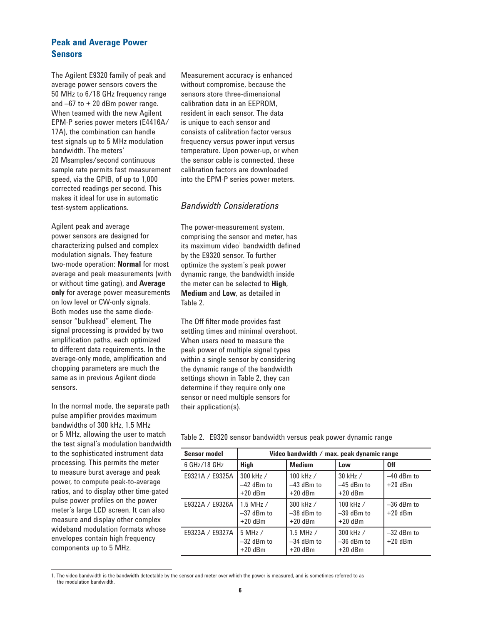### **Peak and Average Power Sensors**

The Agilent E9320 family of peak and average power sensors covers the 50 MHz to 6/18 GHz frequency range and  $-67$  to  $+20$  dBm power range. When teamed with the new Agilent EPM-P series power meters (E4416A/ 17A), the combination can handle test signals up to 5 MHz modulation bandwidth. The meters' 20 Msamples/second continuous sample rate permits fast measurement speed, via the GPIB, of up to 1,000 corrected readings per second. This makes it ideal for use in automatic test-system applications.

Agilent peak and average power sensors are designed for characterizing pulsed and complex modulation signals. They feature two-mode operation: **Normal** for most average and peak measurements (with or without time gating), and **Average only** for average power measurements on low level or CW-only signals. Both modes use the same diodesensor "bulkhead" element. The signal processing is provided by two amplification paths, each optimized to different data requirements. In the average-only mode, amplification and chopping parameters are much the same as in previous Agilent diode sensors.

In the normal mode, the separate path pulse amplifier provides maximum bandwidths of 300 kHz, 1.5 MHz or 5 MHz, allowing the user to match the test signal's modulation bandwidth to the sophisticated instrument data processing. This permits the meter to measure burst average and peak power, to compute peak-to-average ratios, and to display other time-gated pulse power profiles on the power meter's large LCD screen. It can also measure and display other complex wideband modulation formats whose envelopes contain high frequency components up to 5 MHz.

Measurement accuracy is enhanced without compromise, because the sensors store three-dimensional calibration data in an EEPROM, resident in each sensor. The data is unique to each sensor and consists of calibration factor versus frequency versus power input versus temperature. Upon power-up, or when the sensor cable is connected, these calibration factors are downloaded into the EPM-P series power meters.

### *Bandwidth Considerations*

The power-measurement system, comprising the sensor and meter, has its maximum video<sup>1</sup> bandwidth defined by the E9320 sensor. To further optimize the system's peak power dynamic range, the bandwidth inside the meter can be selected to **High**, **Medium** and **Low**, as detailed in Table 2.

The Off filter mode provides fast settling times and minimal overshoot. When users need to measure the peak power of multiple signal types within a single sensor by considering the dynamic range of the bandwidth settings shown in Table 2, they can determine if they require only one sensor or need multiple sensors for their application(s).

|  | Table 2. E9320 sensor bandwidth versus peak power dynamic range |  |  |  |  |  |  |
|--|-----------------------------------------------------------------|--|--|--|--|--|--|
|--|-----------------------------------------------------------------|--|--|--|--|--|--|

| <b>Sensor model</b> | Video bandwidth / max. peak dynamic range  |                                            |                                          |                           |  |  |  |  |  |  |  |
|---------------------|--------------------------------------------|--------------------------------------------|------------------------------------------|---------------------------|--|--|--|--|--|--|--|
| 6 GHz/18 GHz        | <b>High</b>                                | <b>Medium</b>                              | Low                                      | 0ff                       |  |  |  |  |  |  |  |
| E9321A / E9325A     | 300 kHz /<br>$-42$ dBm to<br>$+20$ dBm     | 100 kHz /<br>$-43$ dBm to<br>$+20$ dBm     | 30 kHz /<br>$-45$ dBm to<br>$+20$ dBm    | $-40$ dBm to<br>$+20$ dBm |  |  |  |  |  |  |  |
| E9322A / E9326A     | $1.5$ MHz $/$<br>$-37$ dBm to<br>$+20$ dBm | 300 kHz /<br>$-38$ dBm to<br>$+20$ dBm     | 100 kHz $/$<br>$-39$ dBm to<br>$+20$ dBm | $-36$ dBm to<br>$+20$ dBm |  |  |  |  |  |  |  |
| E9323A / E9327A     | $5$ MHz $/$<br>$-32$ dBm to<br>$+20$ dBm   | $1.5$ MHz $/$<br>$-34$ dBm to<br>$+20$ dBm | 300 kHz /<br>$-36$ dBm to<br>$+20$ dBm   | $-32$ dBm to<br>$+20$ dBm |  |  |  |  |  |  |  |

<sup>1.</sup> The video bandwidth is the bandwidth detectable by the sensor and meter over which the power is measured, and is sometimes referred to as the modulation bandwidth.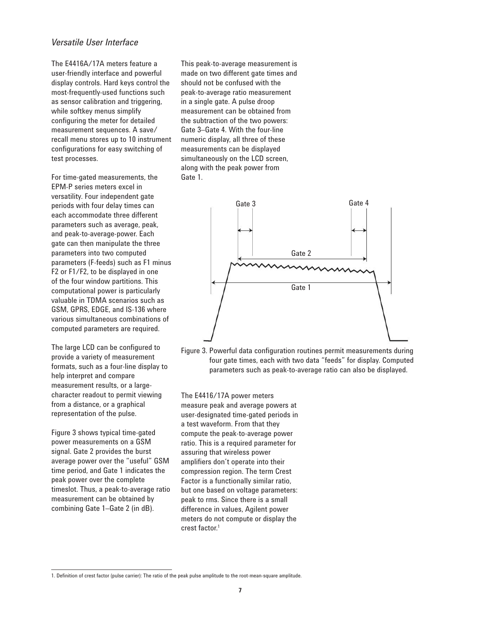### *Versatile User Interface*

The E4416A/17A meters feature a user-friendly interface and powerful display controls. Hard keys control the most-frequently-used functions such as sensor calibration and triggering, while softkey menus simplify configuring the meter for detailed measurement sequences. A save/ recall menu stores up to 10 instrument configurations for easy switching of test processes.

For time-gated measurements, the EPM-P series meters excel in versatility. Four independent gate periods with four delay times can each accommodate three different parameters such as average, peak, and peak-to-average-power. Each gate can then manipulate the three parameters into two computed parameters (F-feeds) such as F1 minus F2 or F1/F2, to be displayed in one of the four window partitions. This computational power is particularly valuable in TDMA scenarios such as GSM, GPRS, EDGE, and IS-136 where various simultaneous combinations of computed parameters are required.

The large LCD can be configured to provide a variety of measurement formats, such as a four-line display to help interpret and compare measurement results, or a largecharacter readout to permit viewing from a distance, or a graphical representation of the pulse.

Figure 3 shows typical time-gated power measurements on a GSM signal. Gate 2 provides the burst average power over the "useful" GSM time period, and Gate 1 indicates the peak power over the complete timeslot. Thus, a peak-to-average ratio measurement can be obtained by combining Gate 1–Gate 2 (in dB).

This peak-to-average measurement is made on two different gate times and should not be confused with the peak-to-average ratio measurement in a single gate. A pulse droop measurement can be obtained from the subtraction of the two powers: Gate 3–Gate 4. With the four-line numeric display, all three of these measurements can be displayed simultaneously on the LCD screen, along with the peak power from Gate 1.



Figure 3. Powerful data configuration routines permit measurements during four gate times, each with two data "feeds" for display. Computed parameters such as peak-to-average ratio can also be displayed.

The E4416/17A power meters measure peak and average powers at user-designated time-gated periods in a test waveform. From that they compute the peak-to-average power ratio. This is a required parameter for assuring that wireless power amplifiers don't operate into their compression region. The term Crest Factor is a functionally similar ratio, but one based on voltage parameters: peak to rms. Since there is a small difference in values, Agilent power meters do not compute or display the crest factor.<sup>1</sup>

<sup>1.</sup> Definition of crest factor (pulse carrier): The ratio of the peak pulse amplitude to the root-mean-square amplitude.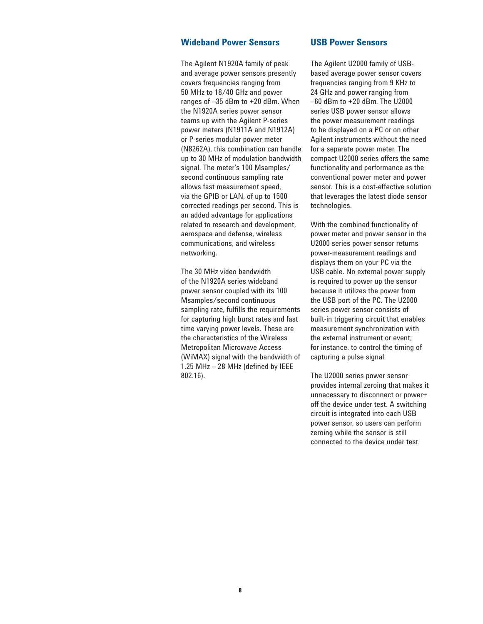### **Wideband Power Sensors**

The Agilent N1920A family of peak and average power sensors presently covers frequencies ranging from 50 MHz to 18/40 GHz and power ranges of –35 dBm to +20 dBm. When the N1920A series power sensor teams up with the Agilent P-series power meters (N1911A and N1912A) or P-series modular power meter (N8262A), this combination can handle up to 30 MHz of modulation bandwidth signal. The meter's 100 Msamples/ second continuous sampling rate allows fast measurement speed, via the GPIB or LAN, of up to 1500 corrected readings per second. This is an added advantage for applications related to research and development, aerospace and defense, wireless communications, and wireless networking.

The 30 MHz video bandwidth of the N1920A series wideband power sensor coupled with its 100 Msamples/second continuous sampling rate, fulfills the requirements for capturing high burst rates and fast time varying power levels. These are the characteristics of the Wireless Metropolitan Microwave Access (WiMAX) signal with the bandwidth of 1.25 MHz  $-$  28 MHz (defined by IEEE 802.16).

### **USB Power Sensors**

The Agilent U2000 family of USBbased average power sensor covers frequencies ranging from 9 KHz to 24 GHz and power ranging from –60 dBm to +20 dBm. The U2000 series USB power sensor allows the power measurement readings to be displayed on a PC or on other Agilent instruments without the need for a separate power meter. The compact U2000 series offers the same functionality and performance as the conventional power meter and power sensor. This is a cost-effective solution that leverages the latest diode sensor technologies.

With the combined functionality of power meter and power sensor in the U2000 series power sensor returns power-measurement readings and displays them on your PC via the USB cable. No external power supply is required to power up the sensor because it utilizes the power from the USB port of the PC. The U2000 series power sensor consists of built-in triggering circuit that enables measurement synchronization with the external instrument or event; for instance, to control the timing of capturing a pulse signal.

The U2000 series power sensor provides internal zeroing that makes it unnecessary to disconnect or power+ off the device under test. A switching circuit is integrated into each USB power sensor, so users can perform zeroing while the sensor is still connected to the device under test.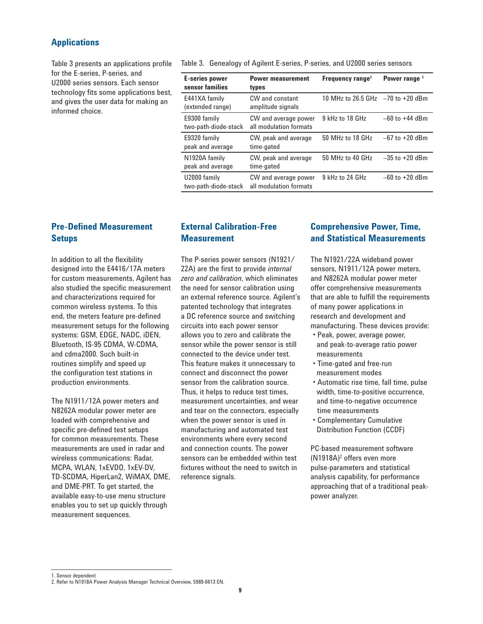### **Applications**

Table 3 presents an applications profile for the E-series, P-series, and U2000 series sensors. Each sensor technology fits some applications best, and gives the user data for making an informed choice.

Table 3. Genealogy of Agilent E-series, P-series, and U2000 series sensors

| <b>E-series power</b><br>sensor families | <b>Power measurement</b><br>types              | Frequency range <sup>1</sup>      | Power range <sup>1</sup> |
|------------------------------------------|------------------------------------------------|-----------------------------------|--------------------------|
| E441XA family<br>(extended range)        | CW and constant<br>amplitude signals           | 10 MHz to 26.5 GHz -70 to +20 dBm |                          |
| E9300 family<br>two-path-diode-stack     | CW and average power<br>all modulation formats | 9 kHz to 18 GHz                   | $-60$ to $+44$ dBm       |
| E9320 family<br>peak and average         | CW, peak and average<br>time-gated             | 50 MHz to 18 GHz                  | $-67$ to $+20$ dBm       |
| N1920A family<br>peak and average        | CW, peak and average<br>time-gated             | 50 MHz to 40 GHz                  | $-35$ to $+20$ dBm       |
| U2000 family<br>two-path-diode-stack     | CW and average power<br>all modulation formats | 9 kHz to 24 GHz                   | $-60$ to $+20$ dBm       |

### **Pre-Defined Measurement Setups**

In addition to all the flexibility designed into the E4416/17A meters for custom measurements, Agilent has also studied the specific measurement and characterizations required for common wireless systems. To this end, the meters feature pre-defined measurement setups for the following systems: GSM, EDGE, NADC, iDEN, Bluetooth, IS-95 CDMA, W-CDMA, and cdma2000. Such built-in routines simplify and speed up the configuration test stations in production environments.

The N1911/12A power meters and N8262A modular power meter are loaded with comprehensive and specific pre-defined test setups for common measurements. These measurements are used in radar and wireless communications: Radar, MCPA, WLAN, 1xEVDO, 1xEV-DV, TD-SCDMA, HiperLan2, WiMAX, DME, and DME-PRT. To get started, the available easy-to-use menu structure enables you to set up quickly through measurement sequences.

### **External Calibration-Free Measurement**

The P-series power sensors (N1921/ 22A) are the first to provide *internal zero and calibration*, which eliminates the need for sensor calibration using an external reference source. Agilent's patented technology that integrates a DC reference source and switching circuits into each power sensor allows you to zero and calibrate the sensor while the power sensor is still connected to the device under test. This feature makes it unnecessary to connect and disconnect the power sensor from the calibration source. Thus, it helps to reduce test times, measurement uncertainties, and wear and tear on the connectors, especially when the power sensor is used in manufacturing and automated test environments where every second and connection counts. The power sensors can be embedded within test fixtures without the need to switch in reference signals.

### **Comprehensive Power, Time, and Statistical Measurements**

The N1921/22A wideband power sensors, N1911/12A power meters, and N8262A modular power meter offer comprehensive measurements that are able to fulfill the requirements of many power applications in research and development and manufacturing. These devices provide:

- Peak, power, average power, and peak-to-average ratio power measurements
- Time-gated and free-run measurement modes
- Automatic rise time, fall time, pulse width, time-to-positive occurrence, and time-to-negative occurrence time measurements
- Complementary Cumulative Distribution Function (CCDF)

PC-based measurement software (N1918A)<sup>2</sup> offers even more pulse-parameters and statistical analysis capability, for performance approaching that of a traditional peakpower analyzer.

<sup>1.</sup> Sensor dependent

<sup>2.</sup> Refer to N1918A Power Analysis Manager Technical Overview, 5989-6613 EN.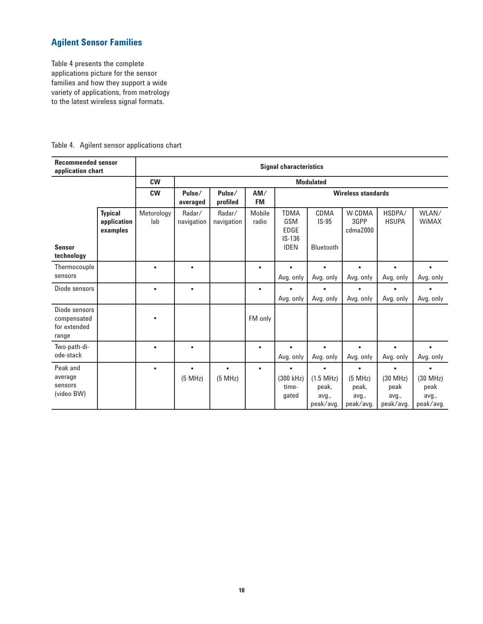### **Agilent Sensor Families**

Table 4 presents the complete applications picture for the sensor families and how they support a wide variety of applications, from metrology to the latest wireless signal formats.

| <b>Recommended sensor</b><br>application chart        |                                           |                   |                      |                      |                  | <b>Signal characteristics</b>                                |                                                            |                                                     |                                        |                                                          |  |  |  |  |
|-------------------------------------------------------|-------------------------------------------|-------------------|----------------------|----------------------|------------------|--------------------------------------------------------------|------------------------------------------------------------|-----------------------------------------------------|----------------------------------------|----------------------------------------------------------|--|--|--|--|
|                                                       |                                           | <b>CW</b>         |                      |                      |                  |                                                              | <b>Modulated</b>                                           |                                                     |                                        |                                                          |  |  |  |  |
|                                                       |                                           | <b>CW</b>         | Pulse/<br>averaged   | Pulse/<br>profiled   | AM/<br><b>FM</b> | <b>Wireless standards</b>                                    |                                                            |                                                     |                                        |                                                          |  |  |  |  |
| <b>Sensor</b><br>technology                           | <b>Typical</b><br>application<br>examples | Metorology<br>lab | Radar/<br>navigation | Radar/<br>navigation | Mobile<br>radio  | <b>TDMA</b><br>GSM<br><b>EDGE</b><br>$IS-136$<br><b>IDEN</b> | CDMA<br>$IS-95$<br>Bluetooth                               | W-CDMA<br>3GPP<br>cdma2000                          | HSDPA/<br><b>HSUPA</b>                 | WLAN/<br><b>WiMAX</b>                                    |  |  |  |  |
| Thermocouple<br>sensors                               |                                           | $\bullet$         | $\bullet$            |                      | $\bullet$        | $\bullet$<br>Avg. only                                       | $\bullet$<br>Avg. only                                     | $\bullet$<br>Avg. only                              | $\bullet$<br>Avg. only                 | $\bullet$<br>Avg. only                                   |  |  |  |  |
| Diode sensors                                         |                                           | ٠                 | $\bullet$            |                      | $\bullet$        | Avg. only                                                    | Avg. only                                                  | Avg. only                                           | Avg. only                              | Avg. only                                                |  |  |  |  |
| Diode sensors<br>compensated<br>for extended<br>range |                                           |                   |                      |                      | FM only          |                                                              |                                                            |                                                     |                                        |                                                          |  |  |  |  |
| Two-path-di-<br>ode-stack                             |                                           | $\bullet$         | $\bullet$            |                      | $\bullet$        | $\bullet$<br>Avg. only                                       | $\bullet$<br>Avg. only                                     | $\bullet$<br>Avg. only                              | $\bullet$<br>Avg. only                 | $\bullet$<br>Avg. only                                   |  |  |  |  |
| Peak and<br>average<br>sensors<br>(video BW)          |                                           | $\bullet$         | $\bullet$<br>(5 MHz) | $\bullet$<br>(5 MHz) | $\bullet$        | (300 kHz)<br>time-<br>gated                                  | $\blacksquare$<br>(1.5 MHz)<br>peak,<br>avg.,<br>peak/avg. | $\bullet$<br>(5 MHz)<br>peak,<br>avg.,<br>peak/avg. | (30 MHz)<br>peak<br>avg.,<br>peak/avg. | $\blacksquare$<br>(30 MHz)<br>peak<br>avg.,<br>peak/avg. |  |  |  |  |

Table 4. Agilent sensor applications chart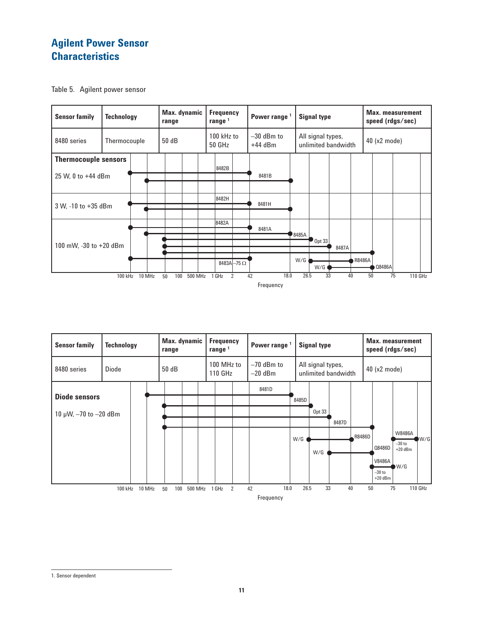# **Agilent Power Sensor Characteristics**







<sup>1.</sup> Sensor dependent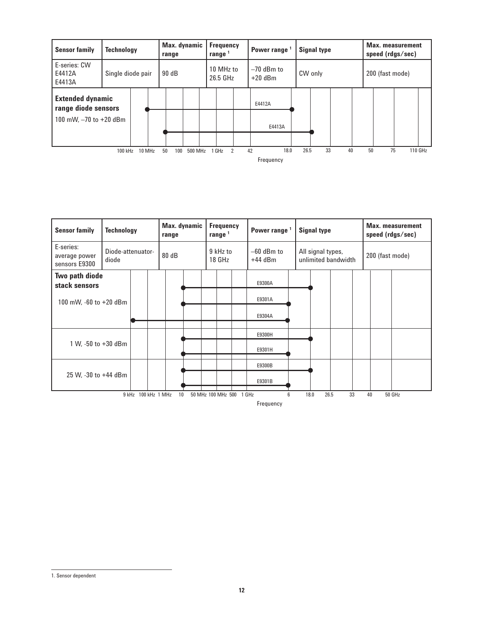| <b>Sensor family</b>                           | <b>Technology</b> |        | range     | Max. dynamic |  | Frequency<br>range $1$ |  | Power range <sup>1</sup>  |      | <b>Signal type</b> |    | <b>Max. measurement</b><br>speed (rdgs/sec) |  |         |  |
|------------------------------------------------|-------------------|--------|-----------|--------------|--|------------------------|--|---------------------------|------|--------------------|----|---------------------------------------------|--|---------|--|
| E-series: CW<br>E4412A<br>E4413A               | Single diode pair |        | 90 dB     |              |  | 10 MHz to<br>26.5 GHz  |  | $-70$ dBm to<br>$+20$ dBm |      | CW only            |    | 200 (fast mode)                             |  |         |  |
| <b>Extended dynamic</b><br>range diode sensors |                   |        |           |              |  |                        |  | E4412A                    |      |                    |    |                                             |  |         |  |
| 100 mW, $-70$ to $+20$ dBm                     |                   |        |           |              |  |                        |  | E4413A                    |      |                    |    |                                             |  |         |  |
|                                                |                   |        |           |              |  |                        |  |                           |      |                    |    |                                             |  |         |  |
|                                                | 100 kHz           | 10 MHz | 100<br>50 | 500 MHz      |  | 1 GHz<br>2             |  | 18.0<br>42                | 26.5 | 33                 | 40 | 75<br>50                                    |  | 110 GHz |  |
|                                                |                   |        |           |              |  |                        |  | Frequency                 |      |                    |    |                                             |  |         |  |

| <b>Sensor family</b>                        | <b>Technology</b>          |               | range | Max. dynamic | <b>Frequency</b><br>range <sup>1</sup> |                          |  | Power range <sup>1</sup>  |   |      | <b>Signal type</b> |                     |    | <b>Max.</b> measurement<br>speed (rdgs/sec) |        |  |  |
|---------------------------------------------|----------------------------|---------------|-------|--------------|----------------------------------------|--------------------------|--|---------------------------|---|------|--------------------|---------------------|----|---------------------------------------------|--------|--|--|
| E-series:<br>average power<br>sensors E9300 | Diode-attenuator-<br>diode |               | 80 dB |              |                                        | 9 kHz to<br>18 GHz       |  | $-60$ dBm to<br>$+44$ dBm |   |      | All signal types,  | unlimited bandwidth |    | 200 (fast mode)                             |        |  |  |
| Two path diode<br>stack sensors             |                            |               |       |              |                                        |                          |  | E9300A                    |   |      |                    |                     |    |                                             |        |  |  |
| 100 mW, -60 to +20 dBm                      |                            |               |       |              |                                        |                          |  | E9301A                    |   |      |                    |                     |    |                                             |        |  |  |
|                                             |                            |               |       |              |                                        |                          |  | E9304A                    |   |      |                    |                     |    |                                             |        |  |  |
|                                             |                            |               |       |              |                                        |                          |  | E9300H                    |   |      |                    |                     |    |                                             |        |  |  |
| 1 W, -50 to +30 dBm                         |                            |               |       |              |                                        |                          |  | E9301H                    |   |      |                    |                     |    |                                             |        |  |  |
|                                             |                            |               |       |              |                                        |                          |  | E9300B                    |   |      |                    |                     |    |                                             |        |  |  |
| 25 W, -30 to +44 dBm                        |                            |               |       |              |                                        |                          |  | E9301B                    |   |      |                    |                     |    |                                             |        |  |  |
|                                             | 9 kHz                      | 100 kHz 1 MHz | 10    |              |                                        | 50 MHz 100 MHz 500 1 GHz |  | Frequency                 | 6 | 18.0 | 26.5               |                     | 33 | 40                                          | 50 GHz |  |  |

1. Sensor dependent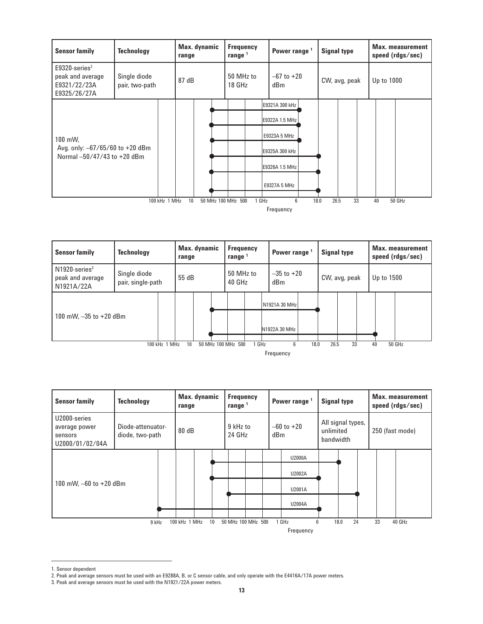

| <b>Sensor family</b>                                                                                       | <b>Technology</b>                 |  | Max. dynamic<br>range |  |  | <b>Frequency</b><br>range $1$ |  |                                | Power range <sup>1</sup> |  |               |  | Max. measurement<br>speed (rdgs/sec) |  |  |
|------------------------------------------------------------------------------------------------------------|-----------------------------------|--|-----------------------|--|--|-------------------------------|--|--------------------------------|--------------------------|--|---------------|--|--------------------------------------|--|--|
| $N1920$ -series <sup>3</sup><br>peak and average<br>N1921A/22A                                             | Single diode<br>pair, single-path |  | 55 dB                 |  |  | 50 MHz to<br>40 GHz           |  | dBm                            | $-35$ to $+20$           |  | CW, avg, peak |  | Up to 1500                           |  |  |
| 100 mW, $-35$ to $+20$ dBm                                                                                 |                                   |  |                       |  |  |                               |  | N1921A 30 MHz<br>N1922A 30 MHz |                          |  |               |  |                                      |  |  |
| 26.5<br>33<br>10<br>6<br>18.0<br>40<br>50 GHz<br>100 kHz 1 MHz<br>50 MHz 100 MHz 500<br>1 GHz<br>Frequency |                                   |  |                       |  |  |                               |  |                                |                          |  |               |  |                                      |  |  |

| <b>Sensor family</b>                                        | <b>Technology</b>                    | Max. dynamic<br>range |                 | <b>Frequency</b><br>range $1$ |  | Power range <sup>1</sup> |                    | <b>Signal type</b>                          |      | <b>Max.</b> measurement<br>speed (rdgs/sec) |    |  |        |
|-------------------------------------------------------------|--------------------------------------|-----------------------|-----------------|-------------------------------|--|--------------------------|--------------------|---------------------------------------------|------|---------------------------------------------|----|--|--------|
| U2000-series<br>average power<br>sensors<br>U2000/01/02/04A | Diode-attenuator-<br>diode, two-path | 80 dB                 |                 | 9 kHz to<br>24 GHz            |  | $-60$ to $+20$<br>dBm    |                    | All signal types,<br>unlimited<br>bandwidth |      | 250 (fast mode)                             |    |  |        |
|                                                             |                                      |                       |                 |                               |  |                          | U2000A             |                                             |      |                                             |    |  |        |
|                                                             |                                      |                       |                 |                               |  |                          | U2002A             |                                             |      |                                             |    |  |        |
| 100 mW, $-60$ to $+20$ dBm                                  |                                      |                       |                 |                               |  |                          | U2001A             |                                             |      |                                             |    |  |        |
|                                                             |                                      |                       |                 |                               |  |                          | U2004A             |                                             |      |                                             |    |  |        |
|                                                             |                                      |                       |                 |                               |  |                          |                    |                                             |      |                                             |    |  |        |
|                                                             | 9 kHz                                | 100 kHz 1 MHz         | 10 <sup>°</sup> |                               |  | 50 MHz 100 MHz 500       | 1 GHz<br>Frequency | 6                                           | 18.0 | 24                                          | 33 |  | 40 GHz |

<sup>1.</sup> Sensor dependent

<sup>2.</sup> Peak and average sensors must be used with an E9288A, B, or C sensor cable, and only operate with the E4416A/17A power meters.

<sup>3.</sup> Peak and average sensors must be used with the N1921/22A power meters.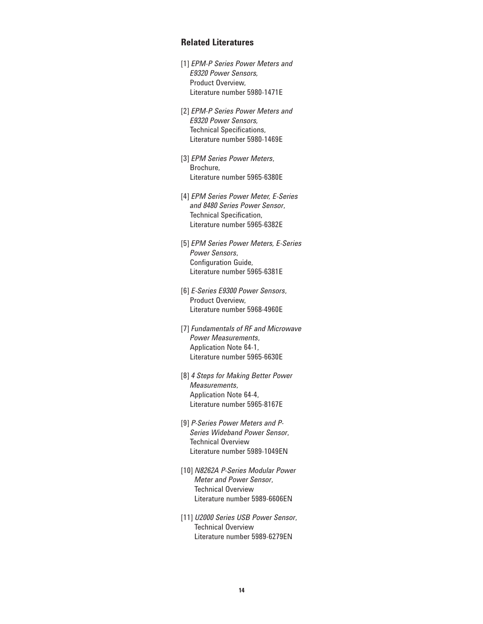### **Related Literatures**

- [1] *EPM-P Series Power Meters and E9320 Power Sensors,* Product Overview, Literature number 5980-1471E
- [2] *EPM-P Series Power Meters and E9320 Power Sensors,* Technical Specifications, Literature number 5980-1469E
- [3] *EPM Series Power Meters*, Brochure, Literature number 5965-6380E
- [4] *EPM Series Power Meter, E-Series and 8480 Series Power Sensor*, Technical Specification, Literature number 5965-6382E
- [5] *EPM Series Power Meters, E-Series Power Sensors*, Configuration Guide, Literature number 5965-6381E
- [6] *E-Series E9300 Power Sensors*, Product Overview, Literature number 5968-4960E
- [7] *Fundamentals of RF and Microwave Power Measurements*, Application Note 64-1, Literature number 5965-6630E
- [8] *4 Steps for Making Better Power Measurements*, Application Note 64-4, Literature number 5965-8167E
- [9] *P-Series Power Meters and P-Series Wideband Power Sensor*, Technical Overview Literature number 5989-1049EN
- [10] *N8262A P-Series Modular Power Meter and Power Sensor*, Technical Overview Literature number 5989-6606EN
- [11] *U2000 Series USB Power Sensor*, Technical Overview Literature number 5989-6279EN